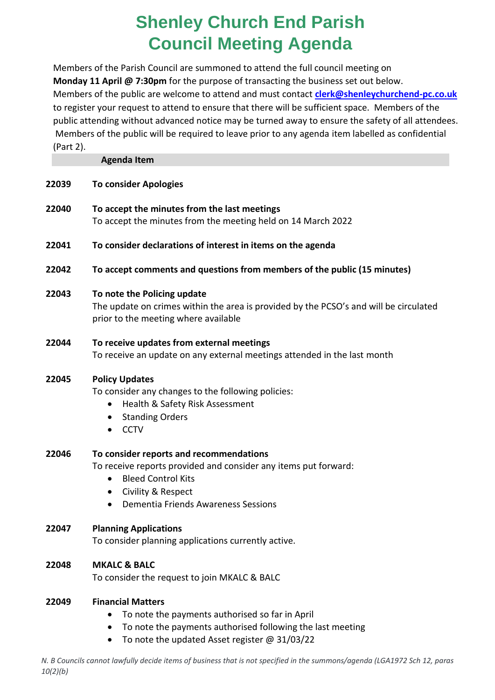## **Shenley Church End Parish Council Meeting Agenda**

Members of the Parish Council are summoned to attend the full council meeting on **Monday 11 April @ 7:30pm** for the purpose of transacting the business set out below. Members of the public are welcome to attend and must contact **[clerk@shenleychurchend-pc.co.uk](mailto:clerk@shenleychurchend-pc.co.uk)** to register your request to attend to ensure that there will be sufficient space. Members of the public attending without advanced notice may be turned away to ensure the safety of all attendees. Members of the public will be required to leave prior to any agenda item labelled as confidential (Part 2).

|       | <b>Agenda Item</b>                                                                                                                                                                                                                          |
|-------|---------------------------------------------------------------------------------------------------------------------------------------------------------------------------------------------------------------------------------------------|
| 22039 | <b>To consider Apologies</b>                                                                                                                                                                                                                |
| 22040 | To accept the minutes from the last meetings<br>To accept the minutes from the meeting held on 14 March 2022                                                                                                                                |
| 22041 | To consider declarations of interest in items on the agenda                                                                                                                                                                                 |
| 22042 | To accept comments and questions from members of the public (15 minutes)                                                                                                                                                                    |
| 22043 | To note the Policing update<br>The update on crimes within the area is provided by the PCSO's and will be circulated<br>prior to the meeting where available                                                                                |
| 22044 | To receive updates from external meetings<br>To receive an update on any external meetings attended in the last month                                                                                                                       |
| 22045 | <b>Policy Updates</b><br>To consider any changes to the following policies:<br>Health & Safety Risk Assessment<br>$\bullet$<br><b>Standing Orders</b><br>$\bullet$<br><b>CCTV</b><br>$\bullet$                                              |
| 22046 | To consider reports and recommendations<br>To receive reports provided and consider any items put forward:<br><b>Bleed Control Kits</b><br>$\bullet$<br>Civility & Respect<br>$\bullet$<br>Dementia Friends Awareness Sessions<br>$\bullet$ |
| 22047 | <b>Planning Applications</b><br>To consider planning applications currently active.                                                                                                                                                         |
| 22048 | <b>MKALC &amp; BALC</b><br>To consider the request to join MKALC & BALC                                                                                                                                                                     |

## **22049 Financial Matters**

- To note the payments authorised so far in April
- To note the payments authorised following the last meeting
- To note the updated Asset register @ 31/03/22